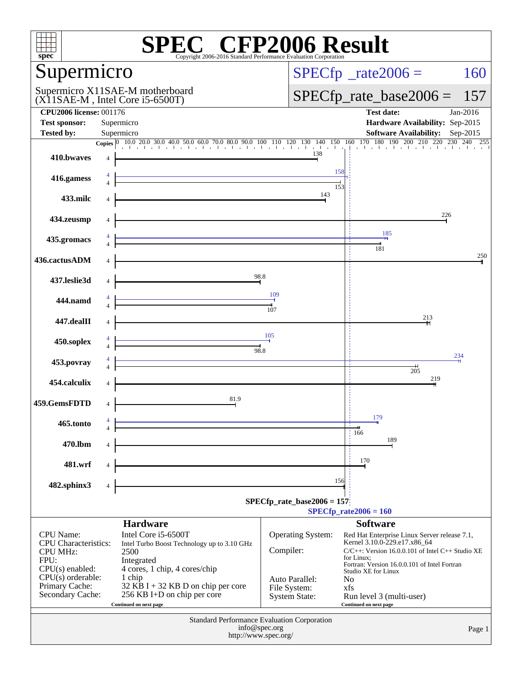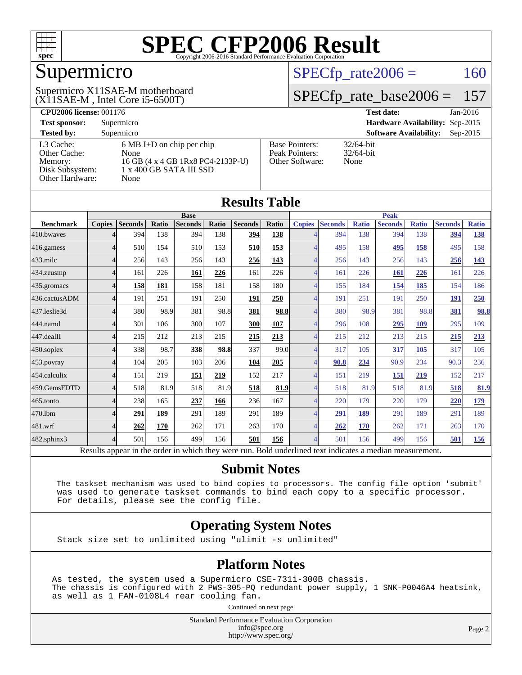

## Supermicro

(X11SAE-M , Intel Core i5-6500T) Supermicro X11SAE-M motherboard  $SPECTp_rate2006 = 160$ 

#### [SPECfp\\_rate\\_base2006 =](http://www.spec.org/auto/cpu2006/Docs/result-fields.html#SPECfpratebase2006) 157

| <b>CPU2006 license: 001176</b> |                                     |                       | <b>Test date:</b><br>Jan-2016               |
|--------------------------------|-------------------------------------|-----------------------|---------------------------------------------|
| <b>Test sponsor:</b>           | Supermicro                          |                       | Hardware Availability: Sep-2015             |
| <b>Tested by:</b>              | Supermicro                          |                       | <b>Software Availability:</b><br>$Sep-2015$ |
| L3 Cache:                      | $6 \text{ MB I+D}$ on chip per chip | <b>Base Pointers:</b> | $32/64$ -bit                                |
| Other Cache:                   | None                                | Peak Pointers:        | $32/64$ -bit                                |
| Memory:                        | 16 GB (4 x 4 GB 1Rx8 PC4-2133P-U)   | Other Software:       | None                                        |
| Disk Subsystem:                | 1 x 400 GB SATA III SSD             |                       |                                             |
| Other Hardware:                | None                                |                       |                                             |

**[Results Table](http://www.spec.org/auto/cpu2006/Docs/result-fields.html#ResultsTable)**

| Results Table                                                                                            |               |                |       |                |       |                |              |               |                |              |                |              |                |              |
|----------------------------------------------------------------------------------------------------------|---------------|----------------|-------|----------------|-------|----------------|--------------|---------------|----------------|--------------|----------------|--------------|----------------|--------------|
|                                                                                                          | <b>Base</b>   |                |       |                |       | <b>Peak</b>    |              |               |                |              |                |              |                |              |
| <b>Benchmark</b>                                                                                         | <b>Copies</b> | <b>Seconds</b> | Ratio | <b>Seconds</b> | Ratio | <b>Seconds</b> | <b>Ratio</b> | <b>Copies</b> | <b>Seconds</b> | <b>Ratio</b> | <b>Seconds</b> | <b>Ratio</b> | <b>Seconds</b> | <b>Ratio</b> |
| 410.bwaves                                                                                               |               | 394            | 138   | 394            | 138   | 394            | 138          |               | 394            | 138          | 394            | 138          | 394            | <u>138</u>   |
| 416.gamess                                                                                               | 4             | 510            | 154   | 510            | 153   | 510            | 153          |               | 495            | 158          | 495            | 158          | 495            | 158          |
| $433$ .milc                                                                                              | 4             | 256            | 143   | 256            | 143   | <u>256</u>     | 143          |               | 256            | 143          | 256            | 143          | 256            | <u>143</u>   |
| 434.zeusmp                                                                                               | 4             | 161            | 226   | 161            | 226   | 161            | 226          |               | 161            | 226          | <b>161</b>     | 226          | 161            | 226          |
| 435.gromacs                                                                                              | 4             | 158            | 181   | 158            | 181   | 158            | 180          | 4             | 155            | 184          | <u>154</u>     | 185          | 154            | 186          |
| 436.cactusADM                                                                                            | 4             | 191            | 251   | 191            | 250   | 191            | 250          | 4             | 191            | 251          | 191            | 250          | 191            | 250          |
| 437.leslie3d                                                                                             | 4             | 380            | 98.9  | 381            | 98.8  | 381            | 98.8         |               | 380            | 98.9         | 381            | 98.8         | 381            | 98.8         |
| 444.namd                                                                                                 |               | 301            | 106   | 300            | 107   | 300            | 107          |               | 296            | 108          | 295            | 109          | 295            | 109          |
| 447.dealII                                                                                               |               | 215            | 212   | 213            | 215   | 215            | 213          |               | 215            | 212          | 213            | 215          | 215            | 213          |
| 450.soplex                                                                                               | $\Lambda$     | 338            | 98.7  | 338            | 98.8  | 337            | 99.0         | 4             | 317            | 105          | 317            | 105          | 317            | 105          |
| 453.povray                                                                                               | 4             | 104            | 205   | 103            | 206   | 104            | 205          | 4             | 90.8           | 234          | 90.9           | 234          | 90.3           | 236          |
| 454.calculix                                                                                             | 4             | 151            | 219   | 151            | 219   | 152            | 217          | 4             | 151            | 219          | 151            | 219          | 152            | 217          |
| 459.GemsFDTD                                                                                             |               | 518            | 81.9  | 518            | 81.9  | 518            | 81.9         |               | 518            | 81.9         | 518            | 81.9         | 518            | 81.9         |
| 465.tonto                                                                                                | 4             | 238            | 165   | 237            | 166   | 236            | 167          | Λ             | 220            | 179          | 220            | 179          | 220            | <u>179</u>   |
| 470.1bm                                                                                                  | 4             | 291            | 189   | 291            | 189   | 291            | 189          | 4             | 291            | 189          | 291            | 189          | 291            | 189          |
| 481.wrf                                                                                                  | 4             | 262            | 170   | 262            | 171   | 263            | 170          |               | <u>262</u>     | 170          | 262            | 171          | 263            | 170          |
| $482$ .sphinx $3$                                                                                        | 4             | 501            | 156   | 499            | 156   | 501            | 156          |               | 501            | 156          | 499            | 156          | 501            | 156          |
| Results appear in the order in which they were run. Bold underlined text indicates a median measurement. |               |                |       |                |       |                |              |               |                |              |                |              |                |              |

#### **[Submit Notes](http://www.spec.org/auto/cpu2006/Docs/result-fields.html#SubmitNotes)**

 The taskset mechanism was used to bind copies to processors. The config file option 'submit' was used to generate taskset commands to bind each copy to a specific processor. For details, please see the config file.

#### **[Operating System Notes](http://www.spec.org/auto/cpu2006/Docs/result-fields.html#OperatingSystemNotes)**

Stack size set to unlimited using "ulimit -s unlimited"

#### **[Platform Notes](http://www.spec.org/auto/cpu2006/Docs/result-fields.html#PlatformNotes)**

As tested, the system used a Supermicro CSE-731i-300B chassis. The chassis is configured with 2 PWS-305-PQ redundant power supply, 1 SNK-P0046A4 heatsink, as well as 1 FAN-0108L4 rear cooling fan.

Continued on next page

Standard Performance Evaluation Corporation [info@spec.org](mailto:info@spec.org) <http://www.spec.org/>

Page 2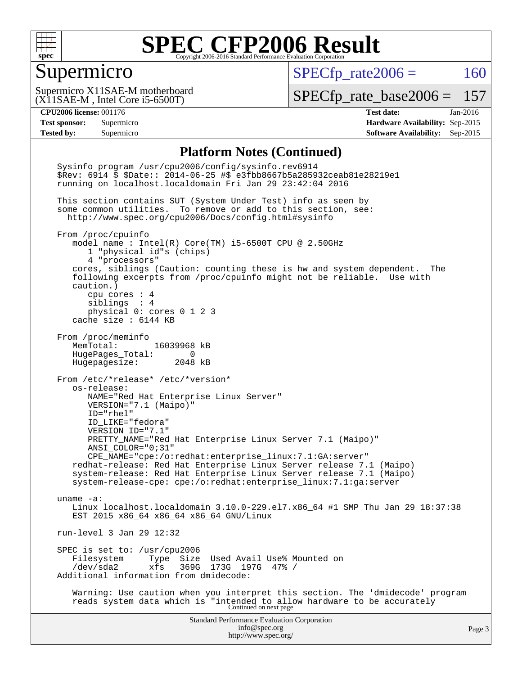

#### Supermicro

 $SPECTp\_rate2006 = 160$ 

(X11SAE-M , Intel Core i5-6500T) Supermicro X11SAE-M motherboard

[SPECfp\\_rate\\_base2006 =](http://www.spec.org/auto/cpu2006/Docs/result-fields.html#SPECfpratebase2006) 157

**[CPU2006 license:](http://www.spec.org/auto/cpu2006/Docs/result-fields.html#CPU2006license)** 001176 **[Test date:](http://www.spec.org/auto/cpu2006/Docs/result-fields.html#Testdate)** Jan-2016 **[Test sponsor:](http://www.spec.org/auto/cpu2006/Docs/result-fields.html#Testsponsor)** Supermicro **[Hardware Availability:](http://www.spec.org/auto/cpu2006/Docs/result-fields.html#HardwareAvailability)** Sep-2015 **[Tested by:](http://www.spec.org/auto/cpu2006/Docs/result-fields.html#Testedby)** Supermicro **Supermicro [Software Availability:](http://www.spec.org/auto/cpu2006/Docs/result-fields.html#SoftwareAvailability)** Sep-2015

#### **[Platform Notes \(Continued\)](http://www.spec.org/auto/cpu2006/Docs/result-fields.html#PlatformNotes)**

Standard Performance Evaluation Corporation [info@spec.org](mailto:info@spec.org) <http://www.spec.org/> Page 3 Sysinfo program /usr/cpu2006/config/sysinfo.rev6914 \$Rev: 6914 \$ \$Date:: 2014-06-25 #\$ e3fbb8667b5a285932ceab81e28219e1 running on localhost.localdomain Fri Jan 29 23:42:04 2016 This section contains SUT (System Under Test) info as seen by some common utilities. To remove or add to this section, see: <http://www.spec.org/cpu2006/Docs/config.html#sysinfo> From /proc/cpuinfo model name : Intel(R) Core(TM) i5-6500T CPU @ 2.50GHz 1 "physical id"s (chips) 4 "processors" cores, siblings (Caution: counting these is hw and system dependent. The following excerpts from /proc/cpuinfo might not be reliable. Use with caution.) cpu cores : 4 siblings : 4 physical 0: cores 0 1 2 3 cache size : 6144 KB From /proc/meminfo MemTotal: 16039968 kB HugePages\_Total: 0 Hugepagesize: 2048 kB From /etc/\*release\* /etc/\*version\* os-release: NAME="Red Hat Enterprise Linux Server" VERSION="7.1 (Maipo)" ID="rhel" ID\_LIKE="fedora" VERSION\_ID="7.1" PRETTY\_NAME="Red Hat Enterprise Linux Server 7.1 (Maipo)" ANSI\_COLOR="0;31" CPE\_NAME="cpe:/o:redhat:enterprise\_linux:7.1:GA:server" redhat-release: Red Hat Enterprise Linux Server release 7.1 (Maipo) system-release: Red Hat Enterprise Linux Server release 7.1 (Maipo) system-release-cpe: cpe:/o:redhat:enterprise\_linux:7.1:ga:server uname -a: Linux localhost.localdomain 3.10.0-229.el7.x86\_64 #1 SMP Thu Jan 29 18:37:38 EST 2015 x86\_64 x86\_64 x86\_64 GNU/Linux run-level 3 Jan 29 12:32 SPEC is set to: /usr/cpu2006<br>Filesystem Type Size Type Size Used Avail Use% Mounted on /dev/sda2 xfs 369G 173G 197G 47% / Additional information from dmidecode: Warning: Use caution when you interpret this section. The 'dmidecode' program reads system data which is "intended to allow hardware to be accurately Continued on next page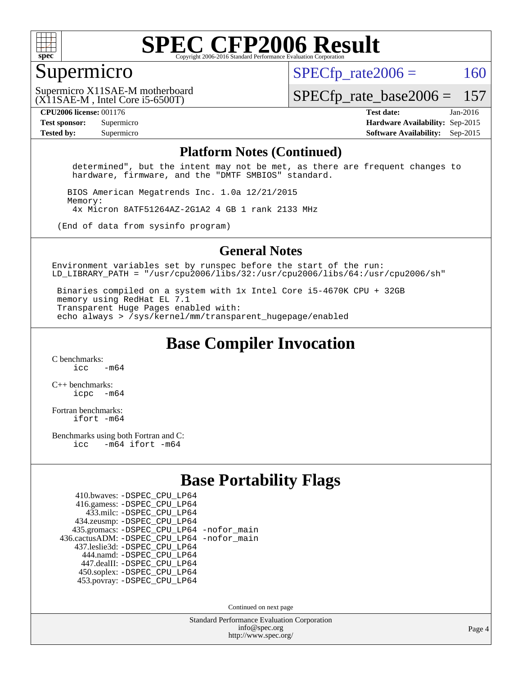

#### Supermicro

 $SPECTp\_rate2006 = 160$ 

(X11SAE-M , Intel Core i5-6500T) Supermicro X11SAE-M motherboard

[SPECfp\\_rate\\_base2006 =](http://www.spec.org/auto/cpu2006/Docs/result-fields.html#SPECfpratebase2006) 157

**[CPU2006 license:](http://www.spec.org/auto/cpu2006/Docs/result-fields.html#CPU2006license)** 001176 **[Test date:](http://www.spec.org/auto/cpu2006/Docs/result-fields.html#Testdate)** Jan-2016 **[Test sponsor:](http://www.spec.org/auto/cpu2006/Docs/result-fields.html#Testsponsor)** Supermicro **[Hardware Availability:](http://www.spec.org/auto/cpu2006/Docs/result-fields.html#HardwareAvailability)** Sep-2015 **[Tested by:](http://www.spec.org/auto/cpu2006/Docs/result-fields.html#Testedby)** Supermicro **Supermicro [Software Availability:](http://www.spec.org/auto/cpu2006/Docs/result-fields.html#SoftwareAvailability)** Sep-2015

#### **[Platform Notes \(Continued\)](http://www.spec.org/auto/cpu2006/Docs/result-fields.html#PlatformNotes)**

 determined", but the intent may not be met, as there are frequent changes to hardware, firmware, and the "DMTF SMBIOS" standard.

 BIOS American Megatrends Inc. 1.0a 12/21/2015 Memory: 4x Micron 8ATF51264AZ-2G1A2 4 GB 1 rank 2133 MHz

(End of data from sysinfo program)

#### **[General Notes](http://www.spec.org/auto/cpu2006/Docs/result-fields.html#GeneralNotes)**

Environment variables set by runspec before the start of the run: LD LIBRARY PATH = "/usr/cpu2006/libs/32:/usr/cpu2006/libs/64:/usr/cpu2006/sh"

 Binaries compiled on a system with 1x Intel Core i5-4670K CPU + 32GB memory using RedHat EL 7.1 Transparent Huge Pages enabled with: echo always > /sys/kernel/mm/transparent\_hugepage/enabled

**[Base Compiler Invocation](http://www.spec.org/auto/cpu2006/Docs/result-fields.html#BaseCompilerInvocation)**

[C benchmarks](http://www.spec.org/auto/cpu2006/Docs/result-fields.html#Cbenchmarks):  $\frac{1}{2}$  cc  $-$  m64

[C++ benchmarks:](http://www.spec.org/auto/cpu2006/Docs/result-fields.html#CXXbenchmarks) [icpc -m64](http://www.spec.org/cpu2006/results/res2016q1/cpu2006-20160206-38965.flags.html#user_CXXbase_intel_icpc_64bit_bedb90c1146cab66620883ef4f41a67e)

[Fortran benchmarks](http://www.spec.org/auto/cpu2006/Docs/result-fields.html#Fortranbenchmarks): [ifort -m64](http://www.spec.org/cpu2006/results/res2016q1/cpu2006-20160206-38965.flags.html#user_FCbase_intel_ifort_64bit_ee9d0fb25645d0210d97eb0527dcc06e)

[Benchmarks using both Fortran and C](http://www.spec.org/auto/cpu2006/Docs/result-fields.html#BenchmarksusingbothFortranandC): [icc -m64](http://www.spec.org/cpu2006/results/res2016q1/cpu2006-20160206-38965.flags.html#user_CC_FCbase_intel_icc_64bit_0b7121f5ab7cfabee23d88897260401c) [ifort -m64](http://www.spec.org/cpu2006/results/res2016q1/cpu2006-20160206-38965.flags.html#user_CC_FCbase_intel_ifort_64bit_ee9d0fb25645d0210d97eb0527dcc06e)

#### **[Base Portability Flags](http://www.spec.org/auto/cpu2006/Docs/result-fields.html#BasePortabilityFlags)**

| 410.bwaves: - DSPEC CPU LP64                 |  |
|----------------------------------------------|--|
| 416.gamess: -DSPEC_CPU_LP64                  |  |
| 433.milc: -DSPEC CPU LP64                    |  |
| 434.zeusmp: -DSPEC_CPU_LP64                  |  |
| 435.gromacs: -DSPEC_CPU_LP64 -nofor_main     |  |
| 436.cactusADM: - DSPEC CPU LP64 - nofor main |  |
| 437.leslie3d: -DSPEC_CPU_LP64                |  |
| 444.namd: - DSPEC CPU LP64                   |  |
| 447.dealII: -DSPEC CPU LP64                  |  |
| 450.soplex: -DSPEC_CPU_LP64                  |  |
| 453.povray: -DSPEC CPU LP64                  |  |

Continued on next page

Standard Performance Evaluation Corporation [info@spec.org](mailto:info@spec.org) <http://www.spec.org/>

Page 4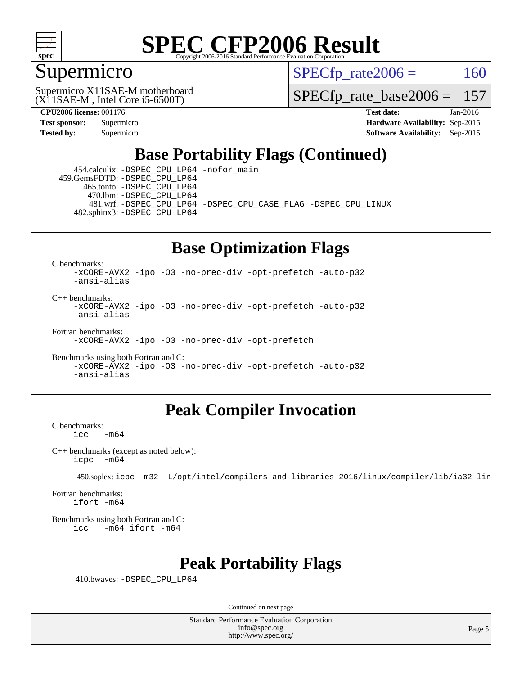

#### Supermicro

 $SPECTp\_rate2006 = 160$ 

(X11SAE-M , Intel Core i5-6500T) Supermicro X11SAE-M motherboard [SPECfp\\_rate\\_base2006 =](http://www.spec.org/auto/cpu2006/Docs/result-fields.html#SPECfpratebase2006) 157

**[CPU2006 license:](http://www.spec.org/auto/cpu2006/Docs/result-fields.html#CPU2006license)** 001176 **[Test date:](http://www.spec.org/auto/cpu2006/Docs/result-fields.html#Testdate)** Jan-2016 **[Test sponsor:](http://www.spec.org/auto/cpu2006/Docs/result-fields.html#Testsponsor)** Supermicro **[Hardware Availability:](http://www.spec.org/auto/cpu2006/Docs/result-fields.html#HardwareAvailability)** Sep-2015 **[Tested by:](http://www.spec.org/auto/cpu2006/Docs/result-fields.html#Testedby)** Supermicro **Supermicro [Software Availability:](http://www.spec.org/auto/cpu2006/Docs/result-fields.html#SoftwareAvailability)** Sep-2015

## **[Base Portability Flags \(Continued\)](http://www.spec.org/auto/cpu2006/Docs/result-fields.html#BasePortabilityFlags)**

 454.calculix: [-DSPEC\\_CPU\\_LP64](http://www.spec.org/cpu2006/results/res2016q1/cpu2006-20160206-38965.flags.html#suite_basePORTABILITY454_calculix_DSPEC_CPU_LP64) [-nofor\\_main](http://www.spec.org/cpu2006/results/res2016q1/cpu2006-20160206-38965.flags.html#user_baseLDPORTABILITY454_calculix_f-nofor_main) 459.GemsFDTD: [-DSPEC\\_CPU\\_LP64](http://www.spec.org/cpu2006/results/res2016q1/cpu2006-20160206-38965.flags.html#suite_basePORTABILITY459_GemsFDTD_DSPEC_CPU_LP64) 465.tonto: [-DSPEC\\_CPU\\_LP64](http://www.spec.org/cpu2006/results/res2016q1/cpu2006-20160206-38965.flags.html#suite_basePORTABILITY465_tonto_DSPEC_CPU_LP64) 470.lbm: [-DSPEC\\_CPU\\_LP64](http://www.spec.org/cpu2006/results/res2016q1/cpu2006-20160206-38965.flags.html#suite_basePORTABILITY470_lbm_DSPEC_CPU_LP64) 481.wrf: [-DSPEC\\_CPU\\_LP64](http://www.spec.org/cpu2006/results/res2016q1/cpu2006-20160206-38965.flags.html#suite_basePORTABILITY481_wrf_DSPEC_CPU_LP64) [-DSPEC\\_CPU\\_CASE\\_FLAG](http://www.spec.org/cpu2006/results/res2016q1/cpu2006-20160206-38965.flags.html#b481.wrf_baseCPORTABILITY_DSPEC_CPU_CASE_FLAG) [-DSPEC\\_CPU\\_LINUX](http://www.spec.org/cpu2006/results/res2016q1/cpu2006-20160206-38965.flags.html#b481.wrf_baseCPORTABILITY_DSPEC_CPU_LINUX) 482.sphinx3: [-DSPEC\\_CPU\\_LP64](http://www.spec.org/cpu2006/results/res2016q1/cpu2006-20160206-38965.flags.html#suite_basePORTABILITY482_sphinx3_DSPEC_CPU_LP64)

## **[Base Optimization Flags](http://www.spec.org/auto/cpu2006/Docs/result-fields.html#BaseOptimizationFlags)**

[C benchmarks](http://www.spec.org/auto/cpu2006/Docs/result-fields.html#Cbenchmarks):

[-xCORE-AVX2](http://www.spec.org/cpu2006/results/res2016q1/cpu2006-20160206-38965.flags.html#user_CCbase_f-xAVX2_5f5fc0cbe2c9f62c816d3e45806c70d7) [-ipo](http://www.spec.org/cpu2006/results/res2016q1/cpu2006-20160206-38965.flags.html#user_CCbase_f-ipo) [-O3](http://www.spec.org/cpu2006/results/res2016q1/cpu2006-20160206-38965.flags.html#user_CCbase_f-O3) [-no-prec-div](http://www.spec.org/cpu2006/results/res2016q1/cpu2006-20160206-38965.flags.html#user_CCbase_f-no-prec-div) [-opt-prefetch](http://www.spec.org/cpu2006/results/res2016q1/cpu2006-20160206-38965.flags.html#user_CCbase_f-opt-prefetch) [-auto-p32](http://www.spec.org/cpu2006/results/res2016q1/cpu2006-20160206-38965.flags.html#user_CCbase_f-auto-p32) [-ansi-alias](http://www.spec.org/cpu2006/results/res2016q1/cpu2006-20160206-38965.flags.html#user_CCbase_f-ansi-alias)

 $C_{++}$  benchmarks: [-xCORE-AVX2](http://www.spec.org/cpu2006/results/res2016q1/cpu2006-20160206-38965.flags.html#user_CXXbase_f-xAVX2_5f5fc0cbe2c9f62c816d3e45806c70d7) [-ipo](http://www.spec.org/cpu2006/results/res2016q1/cpu2006-20160206-38965.flags.html#user_CXXbase_f-ipo) [-O3](http://www.spec.org/cpu2006/results/res2016q1/cpu2006-20160206-38965.flags.html#user_CXXbase_f-O3) [-no-prec-div](http://www.spec.org/cpu2006/results/res2016q1/cpu2006-20160206-38965.flags.html#user_CXXbase_f-no-prec-div) [-opt-prefetch](http://www.spec.org/cpu2006/results/res2016q1/cpu2006-20160206-38965.flags.html#user_CXXbase_f-opt-prefetch) [-auto-p32](http://www.spec.org/cpu2006/results/res2016q1/cpu2006-20160206-38965.flags.html#user_CXXbase_f-auto-p32) [-ansi-alias](http://www.spec.org/cpu2006/results/res2016q1/cpu2006-20160206-38965.flags.html#user_CXXbase_f-ansi-alias)

[Fortran benchmarks](http://www.spec.org/auto/cpu2006/Docs/result-fields.html#Fortranbenchmarks):

[-xCORE-AVX2](http://www.spec.org/cpu2006/results/res2016q1/cpu2006-20160206-38965.flags.html#user_FCbase_f-xAVX2_5f5fc0cbe2c9f62c816d3e45806c70d7) [-ipo](http://www.spec.org/cpu2006/results/res2016q1/cpu2006-20160206-38965.flags.html#user_FCbase_f-ipo) [-O3](http://www.spec.org/cpu2006/results/res2016q1/cpu2006-20160206-38965.flags.html#user_FCbase_f-O3) [-no-prec-div](http://www.spec.org/cpu2006/results/res2016q1/cpu2006-20160206-38965.flags.html#user_FCbase_f-no-prec-div) [-opt-prefetch](http://www.spec.org/cpu2006/results/res2016q1/cpu2006-20160206-38965.flags.html#user_FCbase_f-opt-prefetch)

[Benchmarks using both Fortran and C](http://www.spec.org/auto/cpu2006/Docs/result-fields.html#BenchmarksusingbothFortranandC): [-xCORE-AVX2](http://www.spec.org/cpu2006/results/res2016q1/cpu2006-20160206-38965.flags.html#user_CC_FCbase_f-xAVX2_5f5fc0cbe2c9f62c816d3e45806c70d7) [-ipo](http://www.spec.org/cpu2006/results/res2016q1/cpu2006-20160206-38965.flags.html#user_CC_FCbase_f-ipo) [-O3](http://www.spec.org/cpu2006/results/res2016q1/cpu2006-20160206-38965.flags.html#user_CC_FCbase_f-O3) [-no-prec-div](http://www.spec.org/cpu2006/results/res2016q1/cpu2006-20160206-38965.flags.html#user_CC_FCbase_f-no-prec-div) [-opt-prefetch](http://www.spec.org/cpu2006/results/res2016q1/cpu2006-20160206-38965.flags.html#user_CC_FCbase_f-opt-prefetch) [-auto-p32](http://www.spec.org/cpu2006/results/res2016q1/cpu2006-20160206-38965.flags.html#user_CC_FCbase_f-auto-p32) [-ansi-alias](http://www.spec.org/cpu2006/results/res2016q1/cpu2006-20160206-38965.flags.html#user_CC_FCbase_f-ansi-alias)

#### **[Peak Compiler Invocation](http://www.spec.org/auto/cpu2006/Docs/result-fields.html#PeakCompilerInvocation)**

[C benchmarks](http://www.spec.org/auto/cpu2006/Docs/result-fields.html#Cbenchmarks):  $-m64$ 

[C++ benchmarks \(except as noted below\):](http://www.spec.org/auto/cpu2006/Docs/result-fields.html#CXXbenchmarksexceptasnotedbelow) [icpc -m64](http://www.spec.org/cpu2006/results/res2016q1/cpu2006-20160206-38965.flags.html#user_CXXpeak_intel_icpc_64bit_bedb90c1146cab66620883ef4f41a67e)

450.soplex: [icpc -m32 -L/opt/intel/compilers\\_and\\_libraries\\_2016/linux/compiler/lib/ia32\\_lin](http://www.spec.org/cpu2006/results/res2016q1/cpu2006-20160206-38965.flags.html#user_peakCXXLD450_soplex_intel_icpc_b4f50a394bdb4597aa5879c16bc3f5c5)

[Fortran benchmarks](http://www.spec.org/auto/cpu2006/Docs/result-fields.html#Fortranbenchmarks): [ifort -m64](http://www.spec.org/cpu2006/results/res2016q1/cpu2006-20160206-38965.flags.html#user_FCpeak_intel_ifort_64bit_ee9d0fb25645d0210d97eb0527dcc06e)

[Benchmarks using both Fortran and C](http://www.spec.org/auto/cpu2006/Docs/result-fields.html#BenchmarksusingbothFortranandC): [icc -m64](http://www.spec.org/cpu2006/results/res2016q1/cpu2006-20160206-38965.flags.html#user_CC_FCpeak_intel_icc_64bit_0b7121f5ab7cfabee23d88897260401c) [ifort -m64](http://www.spec.org/cpu2006/results/res2016q1/cpu2006-20160206-38965.flags.html#user_CC_FCpeak_intel_ifort_64bit_ee9d0fb25645d0210d97eb0527dcc06e)

#### **[Peak Portability Flags](http://www.spec.org/auto/cpu2006/Docs/result-fields.html#PeakPortabilityFlags)**

410.bwaves: [-DSPEC\\_CPU\\_LP64](http://www.spec.org/cpu2006/results/res2016q1/cpu2006-20160206-38965.flags.html#suite_peakPORTABILITY410_bwaves_DSPEC_CPU_LP64)

Continued on next page

Standard Performance Evaluation Corporation [info@spec.org](mailto:info@spec.org) <http://www.spec.org/>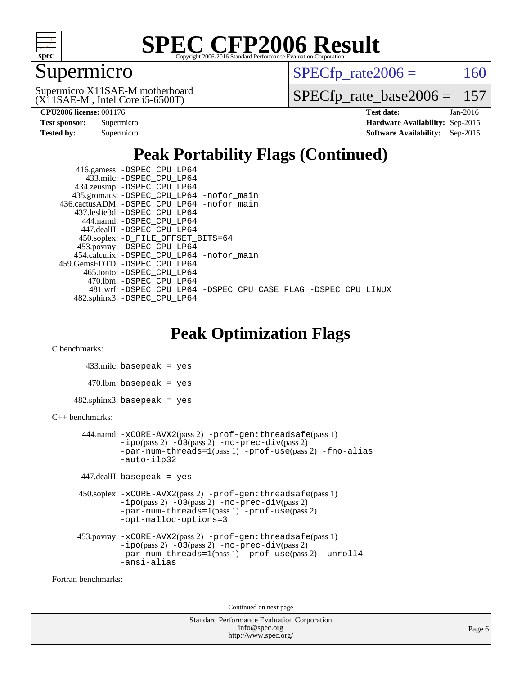

### Supermicro

 $SPECTp\_rate2006 = 160$ 

(X11SAE-M , Intel Core i5-6500T) Supermicro X11SAE-M motherboard

[SPECfp\\_rate\\_base2006 =](http://www.spec.org/auto/cpu2006/Docs/result-fields.html#SPECfpratebase2006) 157

| <b>Test sponsor:</b> | Supermicro |
|----------------------|------------|
| Tested by:           | Supermicro |

**[CPU2006 license:](http://www.spec.org/auto/cpu2006/Docs/result-fields.html#CPU2006license)** 001176 **[Test date:](http://www.spec.org/auto/cpu2006/Docs/result-fields.html#Testdate)** Jan-2016 **[Hardware Availability:](http://www.spec.org/auto/cpu2006/Docs/result-fields.html#HardwareAvailability)** Sep-2015 **[Software Availability:](http://www.spec.org/auto/cpu2006/Docs/result-fields.html#SoftwareAvailability)** Sep-2015

## **[Peak Portability Flags \(Continued\)](http://www.spec.org/auto/cpu2006/Docs/result-fields.html#PeakPortabilityFlags)**

 416.gamess: [-DSPEC\\_CPU\\_LP64](http://www.spec.org/cpu2006/results/res2016q1/cpu2006-20160206-38965.flags.html#suite_peakPORTABILITY416_gamess_DSPEC_CPU_LP64) 433.milc: [-DSPEC\\_CPU\\_LP64](http://www.spec.org/cpu2006/results/res2016q1/cpu2006-20160206-38965.flags.html#suite_peakPORTABILITY433_milc_DSPEC_CPU_LP64) 434.zeusmp: [-DSPEC\\_CPU\\_LP64](http://www.spec.org/cpu2006/results/res2016q1/cpu2006-20160206-38965.flags.html#suite_peakPORTABILITY434_zeusmp_DSPEC_CPU_LP64) 435.gromacs: [-DSPEC\\_CPU\\_LP64](http://www.spec.org/cpu2006/results/res2016q1/cpu2006-20160206-38965.flags.html#suite_peakPORTABILITY435_gromacs_DSPEC_CPU_LP64) [-nofor\\_main](http://www.spec.org/cpu2006/results/res2016q1/cpu2006-20160206-38965.flags.html#user_peakLDPORTABILITY435_gromacs_f-nofor_main) 436.cactusADM: [-DSPEC\\_CPU\\_LP64](http://www.spec.org/cpu2006/results/res2016q1/cpu2006-20160206-38965.flags.html#suite_peakPORTABILITY436_cactusADM_DSPEC_CPU_LP64) [-nofor\\_main](http://www.spec.org/cpu2006/results/res2016q1/cpu2006-20160206-38965.flags.html#user_peakLDPORTABILITY436_cactusADM_f-nofor_main) 437.leslie3d: [-DSPEC\\_CPU\\_LP64](http://www.spec.org/cpu2006/results/res2016q1/cpu2006-20160206-38965.flags.html#suite_peakPORTABILITY437_leslie3d_DSPEC_CPU_LP64) 444.namd: [-DSPEC\\_CPU\\_LP64](http://www.spec.org/cpu2006/results/res2016q1/cpu2006-20160206-38965.flags.html#suite_peakPORTABILITY444_namd_DSPEC_CPU_LP64) 447.dealII: [-DSPEC\\_CPU\\_LP64](http://www.spec.org/cpu2006/results/res2016q1/cpu2006-20160206-38965.flags.html#suite_peakPORTABILITY447_dealII_DSPEC_CPU_LP64) 450.soplex: [-D\\_FILE\\_OFFSET\\_BITS=64](http://www.spec.org/cpu2006/results/res2016q1/cpu2006-20160206-38965.flags.html#user_peakPORTABILITY450_soplex_file_offset_bits_64_438cf9856305ebd76870a2c6dc2689ab) 453.povray: [-DSPEC\\_CPU\\_LP64](http://www.spec.org/cpu2006/results/res2016q1/cpu2006-20160206-38965.flags.html#suite_peakPORTABILITY453_povray_DSPEC_CPU_LP64) 454.calculix: [-DSPEC\\_CPU\\_LP64](http://www.spec.org/cpu2006/results/res2016q1/cpu2006-20160206-38965.flags.html#suite_peakPORTABILITY454_calculix_DSPEC_CPU_LP64) [-nofor\\_main](http://www.spec.org/cpu2006/results/res2016q1/cpu2006-20160206-38965.flags.html#user_peakLDPORTABILITY454_calculix_f-nofor_main) 459.GemsFDTD: [-DSPEC\\_CPU\\_LP64](http://www.spec.org/cpu2006/results/res2016q1/cpu2006-20160206-38965.flags.html#suite_peakPORTABILITY459_GemsFDTD_DSPEC_CPU_LP64) 465.tonto: [-DSPEC\\_CPU\\_LP64](http://www.spec.org/cpu2006/results/res2016q1/cpu2006-20160206-38965.flags.html#suite_peakPORTABILITY465_tonto_DSPEC_CPU_LP64) 470.lbm: [-DSPEC\\_CPU\\_LP64](http://www.spec.org/cpu2006/results/res2016q1/cpu2006-20160206-38965.flags.html#suite_peakPORTABILITY470_lbm_DSPEC_CPU_LP64) 481.wrf: [-DSPEC\\_CPU\\_LP64](http://www.spec.org/cpu2006/results/res2016q1/cpu2006-20160206-38965.flags.html#suite_peakPORTABILITY481_wrf_DSPEC_CPU_LP64) [-DSPEC\\_CPU\\_CASE\\_FLAG](http://www.spec.org/cpu2006/results/res2016q1/cpu2006-20160206-38965.flags.html#b481.wrf_peakCPORTABILITY_DSPEC_CPU_CASE_FLAG) [-DSPEC\\_CPU\\_LINUX](http://www.spec.org/cpu2006/results/res2016q1/cpu2006-20160206-38965.flags.html#b481.wrf_peakCPORTABILITY_DSPEC_CPU_LINUX) 482.sphinx3: [-DSPEC\\_CPU\\_LP64](http://www.spec.org/cpu2006/results/res2016q1/cpu2006-20160206-38965.flags.html#suite_peakPORTABILITY482_sphinx3_DSPEC_CPU_LP64)

## **[Peak Optimization Flags](http://www.spec.org/auto/cpu2006/Docs/result-fields.html#PeakOptimizationFlags)**

[C benchmarks](http://www.spec.org/auto/cpu2006/Docs/result-fields.html#Cbenchmarks):

```
 433.milc: basepeak = yes
   470.lbm: basepeak = yes
482.sphinx3: basepeak = yes
```
#### [C++ benchmarks:](http://www.spec.org/auto/cpu2006/Docs/result-fields.html#CXXbenchmarks)

```
 444.namd: -xCORE-AVX2(pass 2) -prof-gen:threadsafe(pass 1)
       -no-prec-div(pass 2)-par-num-threads=1(pass 1) -prof-use(pass 2) -fno-alias
       -auto-ilp32
```

```
 447.dealII: basepeak = yes
```

```
 450.soplex: -xCORE-AVX2(pass 2) -prof-gen:threadsafe(pass 1)
          -i\text{po}(pass 2) -\overline{O}3(pass 2)-no-prec-div(pass 2)
          -par-num-threads=1(pass 1) -prof-use(pass 2)
          -opt-malloc-options=3
```

```
 453.povray: -xCORE-AVX2(pass 2) -prof-gen:threadsafe(pass 1)
          -i\text{po}(pass 2) -\tilde{O}3(pass 2)-no-prec-div(pass 2)
          -par-num-threads=1(pass 1) -prof-use(pass 2) -unroll4
          -ansi-alias
```
[Fortran benchmarks](http://www.spec.org/auto/cpu2006/Docs/result-fields.html#Fortranbenchmarks):

Continued on next page

```
Standard Performance Evaluation Corporation
             info@spec.org
           http://www.spec.org/
```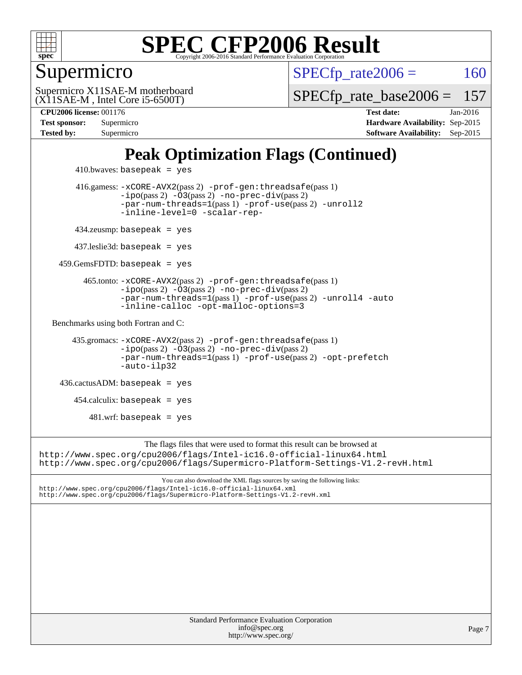

#### Supermicro

 $SPECTp\_rate2006 = 160$ 

(X11SAE-M , Intel Core i5-6500T) Supermicro X11SAE-M motherboard [SPECfp\\_rate\\_base2006 =](http://www.spec.org/auto/cpu2006/Docs/result-fields.html#SPECfpratebase2006) 157

**[CPU2006 license:](http://www.spec.org/auto/cpu2006/Docs/result-fields.html#CPU2006license)** 001176 **[Test date:](http://www.spec.org/auto/cpu2006/Docs/result-fields.html#Testdate)** Jan-2016 **[Test sponsor:](http://www.spec.org/auto/cpu2006/Docs/result-fields.html#Testsponsor)** Supermicro **[Hardware Availability:](http://www.spec.org/auto/cpu2006/Docs/result-fields.html#HardwareAvailability)** Sep-2015 **[Tested by:](http://www.spec.org/auto/cpu2006/Docs/result-fields.html#Testedby)** Supermicro **Supermicro [Software Availability:](http://www.spec.org/auto/cpu2006/Docs/result-fields.html#SoftwareAvailability)** Sep-2015

## **[Peak Optimization Flags \(Continued\)](http://www.spec.org/auto/cpu2006/Docs/result-fields.html#PeakOptimizationFlags)**

```
410.bwaves: basepeak = yes 416.gamess: -xCORE-AVX2(pass 2) -prof-gen:threadsafe(pass 1)
                   -i\text{po}(pass 2) -03(pass 2)-no-prec-div(pass 2)
                   -par-num-threads=1(pass 1) -prof-use(pass 2) -unroll2
                   -inline-level=0 -scalar-rep-
         434.zeusmp: basepeak = yes
         437.leslie3d: basepeak = yes
     459.GemsFDTD: basepeak = yes
           465.tonto: -xCORE-AVX2(pass 2) -prof-gen:threadsafe(pass 1)
                  -no-prec-div(pass 2)-par-num-threads=1(pass 1) -prof-use(pass 2) -unroll4 -auto
                   -inline-calloc -opt-malloc-options=3
   Benchmarks using both Fortran and C: 
        435.gromacs: -xCORE-AVX2(pass 2) -prof-gen:threadsafe(pass 1)
                   -i\text{po}(pass 2) -03(pass 2)-no-prec-div(pass 2)
                   -par-num-threads=1(pass 1) -prof-use(pass 2) -opt-prefetch
                   -auto-ilp32
     436.cactusADM: basepeak = yes
        454.calculix: basepeak = yes
           481.wrf: basepeak = yes
                        The flags files that were used to format this result can be browsed at
http://www.spec.org/cpu2006/flags/Intel-ic16.0-official-linux64.html
http://www.spec.org/cpu2006/flags/Supermicro-Platform-Settings-V1.2-revH.html
                            You can also download the XML flags sources by saving the following links:
http://www.spec.org/cpu2006/flags/Intel-ic16.0-official-linux64.xml
```
<http://www.spec.org/cpu2006/flags/Supermicro-Platform-Settings-V1.2-revH.xml>